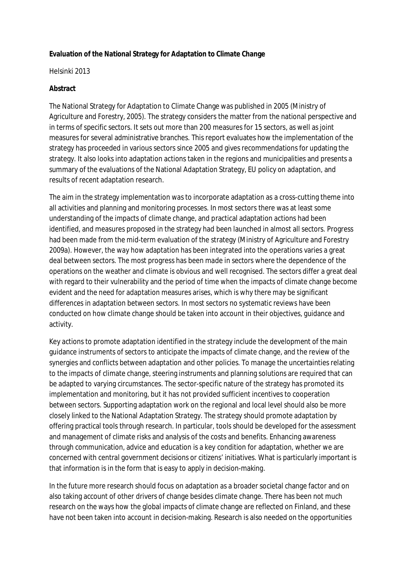## **Evaluation of the National Strategy for Adaptation to Climate Change**

## Helsinki 2013

## **Abstract**

The National Strategy for Adaptation to Climate Change was published in 2005 (Ministry of Agriculture and Forestry, 2005). The strategy considers the matter from the national perspective and in terms of specific sectors. It sets out more than 200 measures for 15 sectors, as well as joint measures for several administrative branches. This report evaluates how the implementation of the strategy has proceeded in various sectors since 2005 and gives recommendations for updating the strategy. It also looks into adaptation actions taken in the regions and municipalities and presents a summary of the evaluations of the National Adaptation Strategy, EU policy on adaptation, and results of recent adaptation research.

The aim in the strategy implementation was to incorporate adaptation as a cross-cutting theme into all activities and planning and monitoring processes. In most sectors there was at least some understanding of the impacts of climate change, and practical adaptation actions had been identified, and measures proposed in the strategy had been launched in almost all sectors. Progress had been made from the mid-term evaluation of the strategy (Ministry of Agriculture and Forestry 2009a). However, the way how adaptation has been integrated into the operations varies a great deal between sectors. The most progress has been made in sectors where the dependence of the operations on the weather and climate is obvious and well recognised. The sectors differ a great deal with regard to their vulnerability and the period of time when the impacts of climate change become evident and the need for adaptation measures arises, which is why there may be significant differences in adaptation between sectors. In most sectors no systematic reviews have been conducted on how climate change should be taken into account in their objectives, guidance and activity.

Key actions to promote adaptation identified in the strategy include the development of the main guidance instruments of sectors to anticipate the impacts of climate change, and the review of the synergies and conflicts between adaptation and other policies. To manage the uncertainties relating to the impacts of climate change, steering instruments and planning solutions are required that can be adapted to varying circumstances. The sector-specific nature of the strategy has promoted its implementation and monitoring, but it has not provided sufficient incentives to cooperation between sectors. Supporting adaptation work on the regional and local level should also be more closely linked to the National Adaptation Strategy. The strategy should promote adaptation by offering practical tools through research. In particular, tools should be developed for the assessment and management of climate risks and analysis of the costs and benefits. Enhancing awareness through communication, advice and education is a key condition for adaptation, whether we are concerned with central government decisions or citizens' initiatives. What is particularly important is that information is in the form that is easy to apply in decision-making.

In the future more research should focus on adaptation as a broader societal change factor and on also taking account of other drivers of change besides climate change. There has been not much research on the ways how the global impacts of climate change are reflected on Finland, and these have not been taken into account in decision-making. Research is also needed on the opportunities